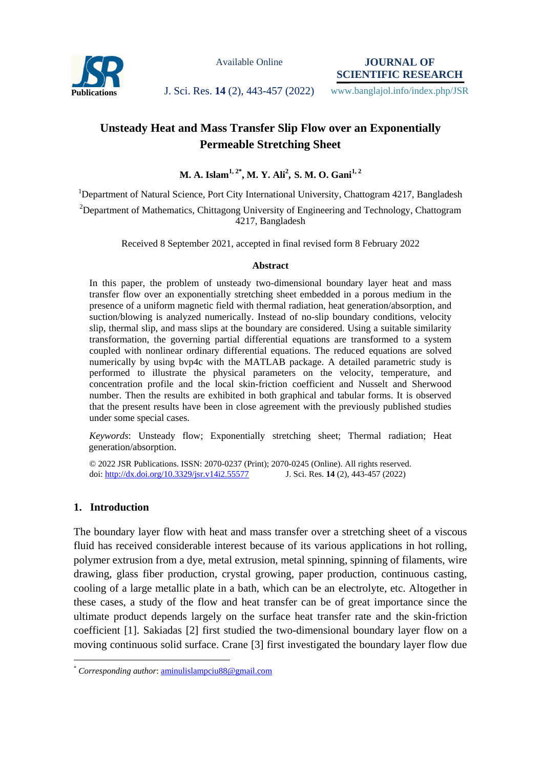

Available Online

**JOURNAL OF SCIENTIFIC RESEARCH**

Publications **J. Sci. Res. 14 (2), 443-457 (2022)** www.banglajol.info/index.php/JSR

# **Unsteady Heat and Mass Transfer Slip Flow over an Exponentially Permeable Stretching Sheet**

**M. A. Islam1, 2\* , M. Y. Ali<sup>2</sup> , S. M. O. Gani1, 2**

<sup>1</sup>Department of Natural Science, Port City International University, Chattogram 4217, Bangladesh <sup>2</sup>Department of Mathematics, Chittagong University of Engineering and Technology, Chattogram 4217, Bangladesh

Received 8 September 2021, accepted in final revised form 8 February 2022

# **Abstract**

In this paper, the problem of unsteady two-dimensional boundary layer heat and mass transfer flow over an exponentially stretching sheet embedded in a porous medium in the presence of a uniform magnetic field with thermal radiation, heat generation/absorption, and suction/blowing is analyzed numerically. Instead of no-slip boundary conditions, velocity slip, thermal slip, and mass slips at the boundary are considered. Using a suitable similarity transformation, the governing partial differential equations are transformed to a system coupled with nonlinear ordinary differential equations. The reduced equations are solved numerically by using bvp4c with the MATLAB package. A detailed parametric study is performed to illustrate the physical parameters on the velocity, temperature, and concentration profile and the local skin-friction coefficient and Nusselt and Sherwood number. Then the results are exhibited in both graphical and tabular forms. It is observed that the present results have been in close agreement with the previously published studies under some special cases.

*Keywords*: Unsteady flow; Exponentially stretching sheet; Thermal radiation; Heat generation/absorption.

© 2022 JSR Publications. ISSN: 2070-0237 (Print); 2070-0245 (Online). All rights reserved. doi:<http://dx.doi.org/10.3329/jsr.v14i2.55577>J. Sci. Res. **14** (2), 443-457 (2022)

# **1. Introduction**

 $\overline{a}$ 

The boundary layer flow with heat and mass transfer over a stretching sheet of a viscous fluid has received considerable interest because of its various applications in hot rolling, polymer extrusion from a dye, metal extrusion, metal spinning, spinning of filaments, wire drawing, glass fiber production, crystal growing, paper production, continuous casting, cooling of a large metallic plate in a bath, which can be an electrolyte, etc. Altogether in these cases, a study of the flow and heat transfer can be of great importance since the ultimate product depends largely on the surface heat transfer rate and the skin-friction coefficient [1]. Sakiadas [2] first studied the two-dimensional boundary layer flow on a moving continuous solid surface. Crane [3] first investigated the boundary layer flow due

<sup>\*</sup> *Corresponding author*[: aminulislampciu88@gmail.com](mailto:mahbubchem@cu.ac.bd)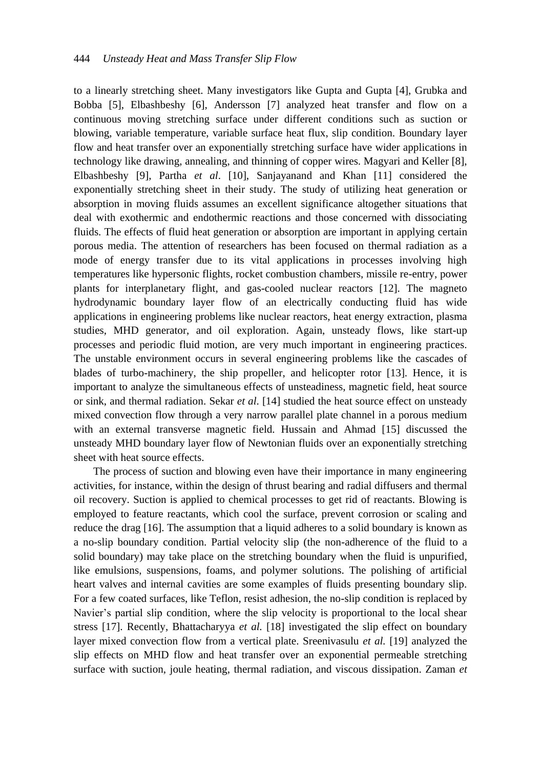to a linearly stretching sheet. Many investigators like Gupta and Gupta [4], Grubka and Bobba [5], Elbashbeshy [6], Andersson [7] analyzed heat transfer and flow on a continuous moving stretching surface under different conditions such as suction or blowing, variable temperature, variable surface heat flux, slip condition. Boundary layer flow and heat transfer over an exponentially stretching surface have wider applications in technology like drawing, annealing, and thinning of copper wires. Magyari and Keller [8], Elbashbeshy [9], Partha *et al*. [10], Sanjayanand and Khan [11] considered the exponentially stretching sheet in their study. The study of utilizing heat generation or absorption in moving fluids assumes an excellent significance altogether situations that deal with exothermic and endothermic reactions and those concerned with dissociating fluids. The effects of fluid heat generation or absorption are important in applying certain porous media. The attention of researchers has been focused on thermal radiation as a mode of energy transfer due to its vital applications in processes involving high temperatures like hypersonic flights, rocket combustion chambers, missile re-entry, power plants for interplanetary flight, and gas-cooled nuclear reactors [12]. The magneto hydrodynamic boundary layer flow of an electrically conducting fluid has wide applications in engineering problems like nuclear reactors, heat energy extraction, plasma studies, MHD generator, and oil exploration. Again, unsteady flows, like start-up processes and periodic fluid motion, are very much important in engineering practices. The unstable environment occurs in several engineering problems like the cascades of blades of turbo-machinery, the ship propeller, and helicopter rotor [13]. Hence, it is important to analyze the simultaneous effects of unsteadiness, magnetic field, heat source or sink, and thermal radiation. Sekar *et al*. [14] studied the heat source effect on unsteady mixed convection flow through a very narrow parallel plate channel in a porous medium with an external transverse magnetic field. Hussain and Ahmad [15] discussed the unsteady MHD boundary layer flow of Newtonian fluids over an exponentially stretching sheet with heat source effects.

The process of suction and blowing even have their importance in many engineering activities, for instance, within the design of thrust bearing and radial diffusers and thermal oil recovery. Suction is applied to chemical processes to get rid of reactants. Blowing is employed to feature reactants, which cool the surface, prevent corrosion or scaling and reduce the drag [16]. The assumption that a liquid adheres to a solid boundary is known as a no-slip boundary condition. Partial velocity slip (the non-adherence of the fluid to a solid boundary) may take place on the stretching boundary when the fluid is unpurified, like emulsions, suspensions, foams, and polymer solutions. The polishing of artificial heart valves and internal cavities are some examples of fluids presenting boundary slip. For a few coated surfaces, like Teflon, resist adhesion, the no-slip condition is replaced by Navier's partial slip condition, where the slip velocity is proportional to the local shear stress [17]. Recently, Bhattacharyya *et al.* [18] investigated the slip effect on boundary layer mixed convection flow from a vertical plate. Sreenivasulu *et al.* [19] analyzed the slip effects on MHD flow and heat transfer over an exponential permeable stretching surface with suction, joule heating, thermal radiation, and viscous dissipation. Zaman *et*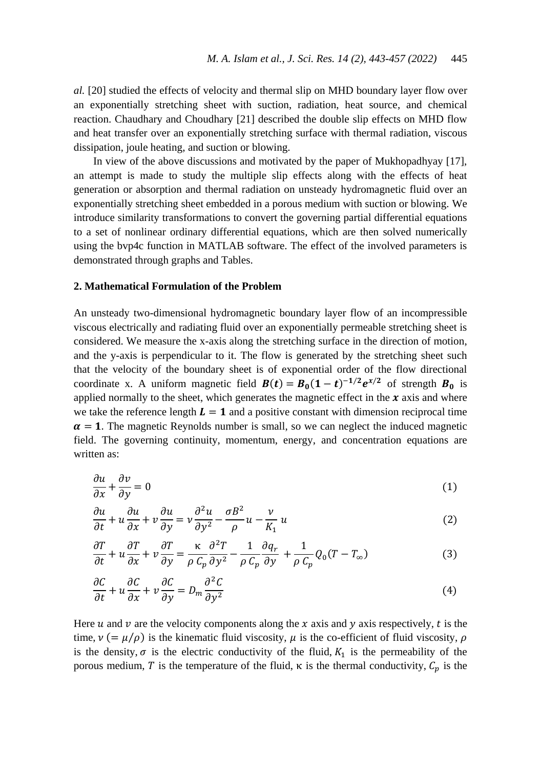*al.* [20] studied the effects of velocity and thermal slip on MHD boundary layer flow over an exponentially stretching sheet with suction, radiation, heat source, and chemical reaction. Chaudhary and Choudhary [21] described the double slip effects on MHD flow and heat transfer over an exponentially stretching surface with thermal radiation, viscous dissipation, joule heating, and suction or blowing.

In view of the above discussions and motivated by the paper of Mukhopadhyay [17], an attempt is made to study the multiple slip effects along with the effects of heat generation or absorption and thermal radiation on unsteady hydromagnetic fluid over an exponentially stretching sheet embedded in a porous medium with suction or blowing. We introduce similarity transformations to convert the governing partial differential equations to a set of nonlinear ordinary differential equations, which are then solved numerically using the bvp4c function in MATLAB software. The effect of the involved parameters is demonstrated through graphs and Tables.

#### **2. Mathematical Formulation of the Problem**

An unsteady two-dimensional hydromagnetic boundary layer flow of an incompressible viscous electrically and radiating fluid over an exponentially permeable stretching sheet is considered. We measure the x-axis along the stretching surface in the direction of motion, and the y-axis is perpendicular to it. The flow is generated by the stretching sheet such that the velocity of the boundary sheet is of exponential order of the flow directional coordinate x. A uniform magnetic field  $B(t) = B_0(1-t)^{-1/2}e^{x/2}$  of strength  $B_0$  is applied normally to the sheet, which generates the magnetic effect in the  $x$  axis and where we take the reference length  $L = 1$  and a positive constant with dimension reciprocal time  $\alpha = 1$ . The magnetic Reynolds number is small, so we can neglect the induced magnetic field. The governing continuity, momentum, energy, and concentration equations are written as:

$$
\frac{\partial u}{\partial x} + \frac{\partial v}{\partial y} = 0\tag{1}
$$

$$
\frac{\partial u}{\partial t} + u \frac{\partial u}{\partial x} + v \frac{\partial u}{\partial y} = v \frac{\partial^2 u}{\partial y^2} - \frac{\sigma B^2}{\rho} u - \frac{v}{K_1} u \tag{2}
$$

$$
\frac{\partial T}{\partial t} + u \frac{\partial T}{\partial x} + v \frac{\partial T}{\partial y} = \frac{\kappa}{\rho} \frac{\partial^2 T}{C_p} \frac{\partial^2 T}{\partial y^2} - \frac{1}{\rho} \frac{\partial q_r}{C_p} \frac{\partial q_r}{\partial y} + \frac{1}{\rho} \frac{\partial q_r}{C_p} Q_0 (T - T_\infty)
$$
(3)

$$
\frac{\partial C}{\partial t} + u \frac{\partial C}{\partial x} + v \frac{\partial C}{\partial y} = D_m \frac{\partial^2 C}{\partial y^2}
$$
 (4)

Here u and v are the velocity components along the x axis and y axis respectively, t is the time,  $v (= \mu/\rho)$  is the kinematic fluid viscosity,  $\mu$  is the co-efficient of fluid viscosity,  $\rho$ is the density,  $\sigma$  is the electric conductivity of the fluid,  $K_1$  is the permeability of the porous medium, T is the temperature of the fluid,  $\kappa$  is the thermal conductivity,  $C_p$  is the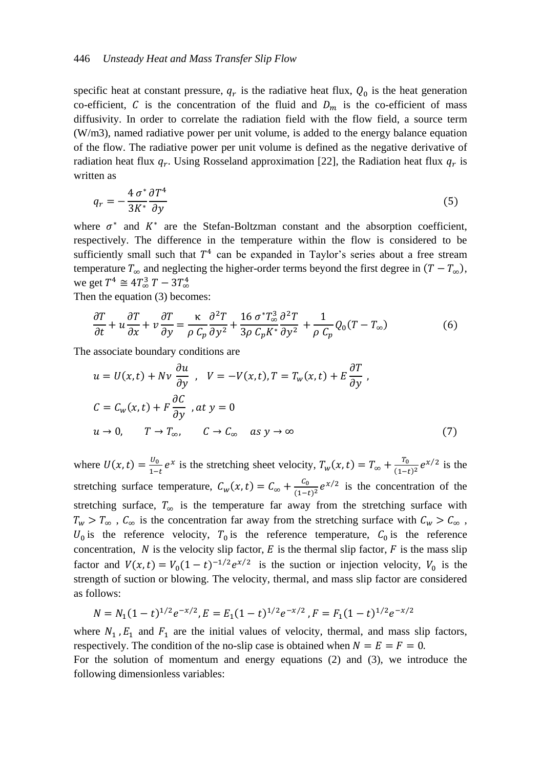### 446 *Unsteady Heat and Mass Transfer Slip Flow*

specific heat at constant pressure,  $q_r$  is the radiative heat flux,  $Q_0$  is the heat generation co-efficient, C is the concentration of the fluid and  $D_m$  is the co-efficient of mass diffusivity. In order to correlate the radiation field with the flow field, a source term (W/m3), named radiative power per unit volume, is added to the energy balance equation of the flow. The radiative power per unit volume is defined as the negative derivative of radiation heat flux  $q_r$ . Using Rosseland approximation [22], the Radiation heat flux  $q_r$  is written as

$$
q_r = -\frac{4 \sigma^* \partial T^4}{3K^* \partial y} \tag{5}
$$

where  $\sigma^*$  and  $K^*$  are the Stefan-Boltzman constant and the absorption coefficient, respectively. The difference in the temperature within the flow is considered to be sufficiently small such that  $T<sup>4</sup>$  can be expanded in Taylor's series about a free stream temperature  $T_{\infty}$  and neglecting the higher-order terms beyond the first degree in  $(T - T_{\infty})$ , we get  $T^4 \cong 4T_{\infty}^3 T - 3T_{\infty}^4$ 

Then the equation (3) becomes:

$$
\frac{\partial T}{\partial t} + u \frac{\partial T}{\partial x} + v \frac{\partial T}{\partial y} = \frac{\kappa}{\rho} \frac{\partial^2 T}{C_p \partial y^2} + \frac{16 \sigma^* T_\infty^3}{3 \rho C_p K^*} \frac{\partial^2 T}{\partial y^2} + \frac{1}{\rho C_p} Q_0 (T - T_\infty)
$$
(6)

The associate boundary conditions are

$$
u = U(x, t) + Nv \frac{\partial u}{\partial y}, \quad V = -V(x, t), T = T_w(x, t) + E \frac{\partial T}{\partial y},
$$
  
\n
$$
C = C_w(x, t) + F \frac{\partial C}{\partial y}, at y = 0
$$
  
\n
$$
u \to 0, \quad T \to T_{\infty}, \quad C \to C_{\infty} \quad as y \to \infty
$$
 (7)

where  $U(x, t) = \frac{U}{1}$  $\frac{U_0}{1-t}e^x$  is the stretching sheet velocity,  $T_w(x,t) = T_\infty + \frac{T_w}{1-t}$  $\frac{I_0}{(1-t)^2}e^{x/2}$  is the stretching surface temperature,  $C_w(x,t) = C_\infty + \frac{c}{t}$  $\frac{c_0}{(1-t)^2}e^{x/2}$  is the concentration of the stretching surface,  $T_{\infty}$  is the temperature far away from the stretching surface with  $T_w > T_{\infty}$ ,  $C_{\infty}$  is the concentration far away from the stretching surface with  $C_w > C_{\infty}$ ,  $U_0$  is the reference velocity,  $T_0$  is the reference temperature,  $C_0$  is the reference concentration, N is the velocity slip factor, E is the thermal slip factor, F is the mass slip factor and  $V(x, t) = V_0 (1 - t)^{-1/2} e^{x/2}$  is the suction or injection velocity,  $V_0$  is the strength of suction or blowing. The velocity, thermal, and mass slip factor are considered as follows:

$$
N = N_1(1-t)^{1/2}e^{-x/2}, E = E_1(1-t)^{1/2}e^{-x/2}, F = F_1(1-t)^{1/2}e^{-x/2}
$$

where  $N_1$ ,  $E_1$  and  $F_1$  are the initial values of velocity, thermal, and mass slip factors, respectively. The condition of the no-slip case is obtained when  $N = E = F = 0$ .

For the solution of momentum and energy equations (2) and (3), we introduce the following dimensionless variables: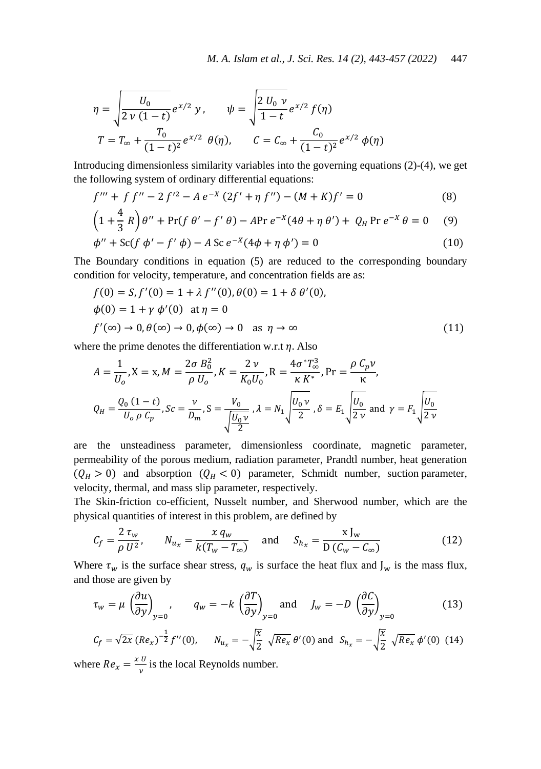$$
\eta = \sqrt{\frac{U_0}{2 \nu (1 - t)}} e^{x/2} y, \qquad \psi = \sqrt{\frac{2 U_0 v}{1 - t}} e^{x/2} f(\eta)
$$

$$
T = T_{\infty} + \frac{T_0}{(1 - t)^2} e^{x/2} \theta(\eta), \qquad C = C_{\infty} + \frac{C_0}{(1 - t)^2} e^{x/2} \phi(\eta)
$$

Introducing dimensionless similarity variables into the governing equations (2)-(4), we get the following system of ordinary differential equations:

$$
f''' + f f'' - 2 f'^2 - A e^{-X} (2f' + \eta f'') - (M + K)f' = 0
$$
 (8)

$$
\left(1+\frac{4}{3}R\right)\theta'' + \Pr(f\theta' - f'\theta) - A\Pr e^{-X}(4\theta + \eta\theta') + Q_H \Pr e^{-X}\theta = 0 \quad (9)
$$

$$
\phi'' + \text{Sc}(f \phi' - f' \phi) - A \text{ Sc } e^{-X}(4\phi + \eta \phi') = 0 \tag{10}
$$

The Boundary conditions in equation (5) are reduced to the corresponding boundary condition for velocity, temperature, and concentration fields are as:

$$
f(0) = S, f'(0) = 1 + \lambda f''(0), \theta(0) = 1 + \delta \theta'(0),
$$
  
\n
$$
\phi(0) = 1 + \gamma \phi'(0) \text{ at } \eta = 0
$$
  
\n
$$
f'(\infty) \to 0, \theta(\infty) \to 0, \phi(\infty) \to 0 \text{ as } \eta \to \infty
$$
\n(11)

where the prime denotes the differentiation w.r.t  $\eta$ . Also

$$
A = \frac{1}{U_o}, X = x, M = \frac{2\sigma B_0^2}{\rho U_o}, K = \frac{2\nu}{K_0 U_0}, R = \frac{4\sigma^* T_o^3}{\kappa K^*}, Pr = \frac{\rho C_p \nu}{\kappa},
$$
  

$$
Q_H = \frac{Q_0 (1 - t)}{U_o \rho C_p}, Sc = \frac{\nu}{D_m}, S = \frac{V_0}{\sqrt{\frac{U_0 \nu}{2}}}, \lambda = N_1 \sqrt{\frac{U_0 \nu}{2}}, \delta = E_1 \sqrt{\frac{U_0}{2 \nu}} \text{ and } \gamma = F_1 \sqrt{\frac{U_0}{2 \nu}}
$$

are the unsteadiness parameter, dimensionless coordinate, magnetic parameter, permeability of the porous medium, radiation parameter, Prandtl number, heat generation  $(Q_H > 0)$  and absorption  $(Q_H < 0)$  parameter, Schmidt number, suction parameter, velocity, thermal, and mass slip parameter, respectively.

The Skin-friction co-efficient, Nusselt number, and Sherwood number, which are the physical quantities of interest in this problem, are defined by

$$
C_f = \frac{2 \tau_w}{\rho U^2}, \qquad N_{u_x} = \frac{x \, q_w}{k(T_w - T_\infty)} \quad \text{and} \quad S_{h_x} = \frac{x \, J_w}{D \left( C_w - C_\infty \right)} \tag{12}
$$

Where  $\tau_w$  is the surface shear stress,  $q_w$  is surface the heat flux and  $J_w$  is the mass flux, and those are given by

$$
\tau_w = \mu \left( \frac{\partial u}{\partial y} \right)_{y=0}, \qquad q_w = -k \left( \frac{\partial T}{\partial y} \right)_{y=0} \text{ and } J_w = -D \left( \frac{\partial C}{\partial y} \right)_{y=0} \tag{13}
$$

$$
C_f = \sqrt{2x} \left( Re_x \right)^{-\frac{1}{2}} f''(0), \qquad N_{u_x} = -\sqrt{\frac{x}{2}} \sqrt{Re_x} \theta'(0) \text{ and } S_{h_x} = -\sqrt{\frac{x}{2}} \sqrt{Re_x} \phi'(0) \tag{14}
$$

where  $Re_x = \frac{x}{x}$  $\frac{0}{v}$  is the local Reynolds number.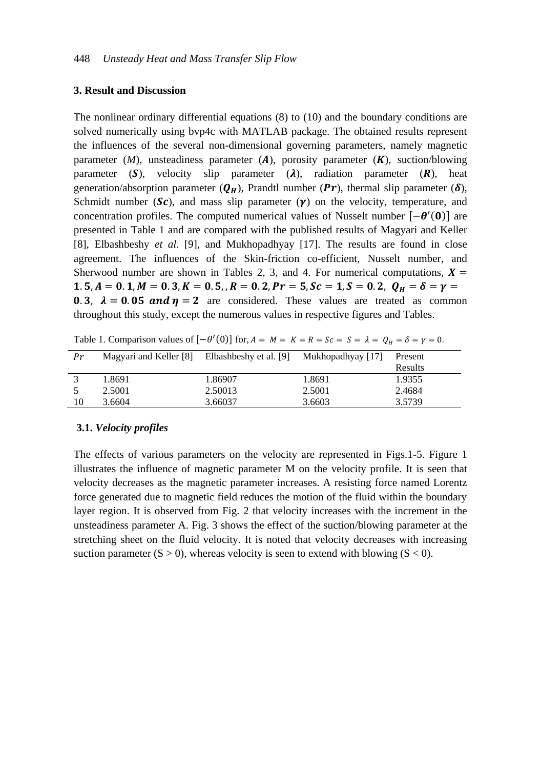# **3. Result and Discussion**

The nonlinear ordinary differential equations (8) to (10) and the boundary conditions are solved numerically using bvp4c with MATLAB package. The obtained results represent the influences of the several non-dimensional governing parameters, namely magnetic parameter  $(M)$ , unsteadiness parameter  $(A)$ , porosity parameter  $(K)$ , suction/blowing parameter  $(S)$ , velocity slip parameter  $(\lambda)$ , radiation parameter  $(R)$ , heat generation/absorption parameter  $(Q_H)$ , Prandtl number (Pr), thermal slip parameter ( $\delta$ ), Schmidt number (Sc), and mass slip parameter  $(\gamma)$  on the velocity, temperature, and concentration profiles. The computed numerical values of Nusselt number  $[-\theta'(0)]$  are presented in Table 1 and are compared with the published results of Magyari and Keller [8], Elbashbeshy *et al*. [9], and Mukhopadhyay [17]. The results are found in close agreement. The influences of the Skin-friction co-efficient, Nusselt number, and Sherwood number are shown in Tables 2, 3, and 4. For numerical computations,  $X =$ 1.5, A = 0.1, M = 0.3, K = 0.5, R = 0.2, Pr = 5, Sc = 1, S = 0.2, Q<sub>H</sub> =  $\delta$  =  $\gamma$  = **0.3,**  $\lambda = 0.05$  and  $\eta = 2$  are considered. These values are treated as common throughout this study, except the numerous values in respective figures and Tables.

| Pr | Magyari and Keller [8] | Elbashbeshy et al. [9] Mukhopadhyay [17] |        | Present |
|----|------------------------|------------------------------------------|--------|---------|
|    |                        |                                          |        | Results |
|    | 1.8691                 | 1.86907                                  | 1.8691 | 1.9355  |
|    | 2.5001                 | 2.50013                                  | 2.5001 | 2.4684  |
| 10 | 3.6604                 | 3.66037                                  | 3.6603 | 3.5739  |

Table 1. Comparison values of  $[-\theta'(0)]$  for, A

### **3.1.** *Velocity profiles*

The effects of various parameters on the velocity are represented in Figs.1-5. Figure 1 illustrates the influence of magnetic parameter M on the velocity profile. It is seen that velocity decreases as the magnetic parameter increases. A resisting force named Lorentz force generated due to magnetic field reduces the motion of the fluid within the boundary layer region. It is observed from Fig. 2 that velocity increases with the increment in the unsteadiness parameter A. Fig. 3 shows the effect of the suction/blowing parameter at the stretching sheet on the fluid velocity. It is noted that velocity decreases with increasing suction parameter  $(S > 0)$ , whereas velocity is seen to extend with blowing  $(S < 0)$ .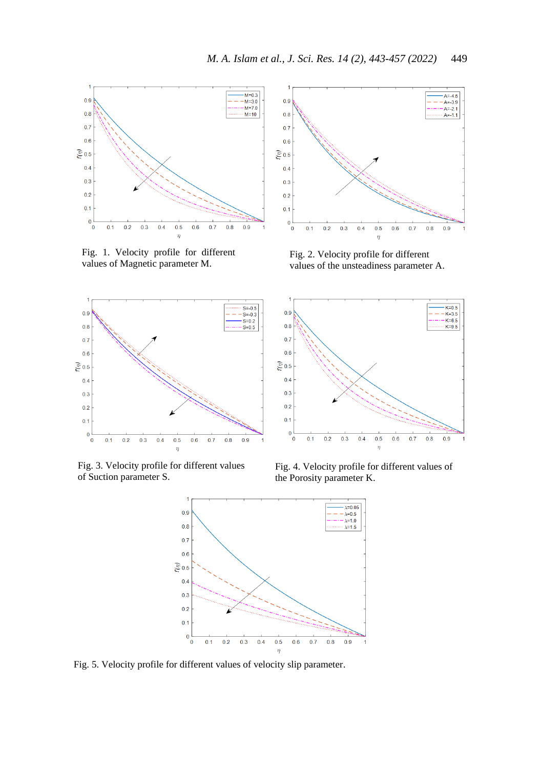

Fig. 1. Velocity profile for different values of Magnetic parameter M.



Fig. 2. Velocity profile for different values of the unsteadiness parameter A.



Fig. 3. Velocity profile for different values of Suction parameter S.



Fig. 4. Velocity profile for different values of the Porosity parameter K.



Fig. 5. Velocity profile for different values of velocity slip parameter.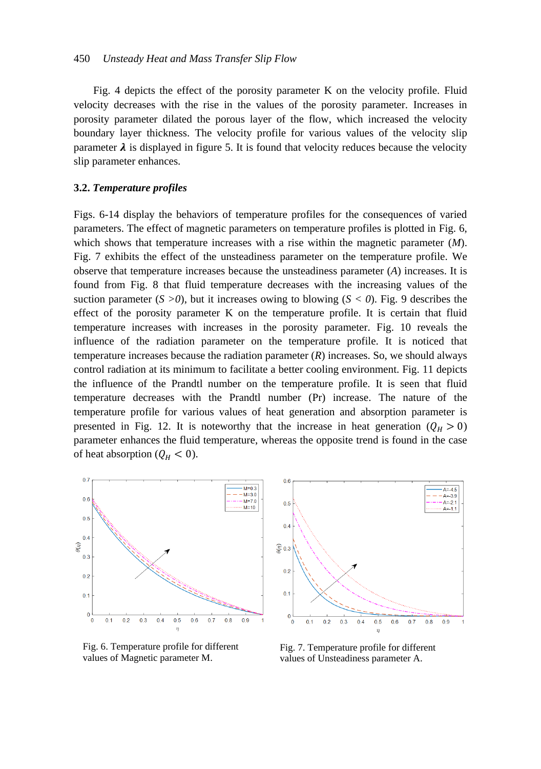Fig. 4 depicts the effect of the porosity parameter K on the velocity profile. Fluid velocity decreases with the rise in the values of the porosity parameter. Increases in porosity parameter dilated the porous layer of the flow, which increased the velocity boundary layer thickness. The velocity profile for various values of the velocity slip parameter  $\lambda$  is displayed in figure 5. It is found that velocity reduces because the velocity slip parameter enhances.

# **3.2.** *Temperature profiles*

Figs. 6-14 display the behaviors of temperature profiles for the consequences of varied parameters. The effect of magnetic parameters on temperature profiles is plotted in Fig. 6, which shows that temperature increases with a rise within the magnetic parameter (*M*). Fig. 7 exhibits the effect of the unsteadiness parameter on the temperature profile. We observe that temperature increases because the unsteadiness parameter (*A*) increases. It is found from Fig. 8 that fluid temperature decreases with the increasing values of the suction parameter  $(S > 0)$ , but it increases owing to blowing  $(S < 0)$ . Fig. 9 describes the effect of the porosity parameter K on the temperature profile. It is certain that fluid temperature increases with increases in the porosity parameter. Fig. 10 reveals the influence of the radiation parameter on the temperature profile. It is noticed that temperature increases because the radiation parameter (*R*) increases. So, we should always control radiation at its minimum to facilitate a better cooling environment. Fig. 11 depicts the influence of the Prandtl number on the temperature profile. It is seen that fluid temperature decreases with the Prandtl number (Pr) increase. The nature of the temperature profile for various values of heat generation and absorption parameter is presented in Fig. 12. It is noteworthy that the increase in heat generation  $(Q_H > 0)$ parameter enhances the fluid temperature, whereas the opposite trend is found in the case of heat absorption ( $Q_H < 0$ ).



Fig. 6. Temperature profile for different values of Magnetic parameter M.



Fig. 7. Temperature profile for different values of Unsteadiness parameter A.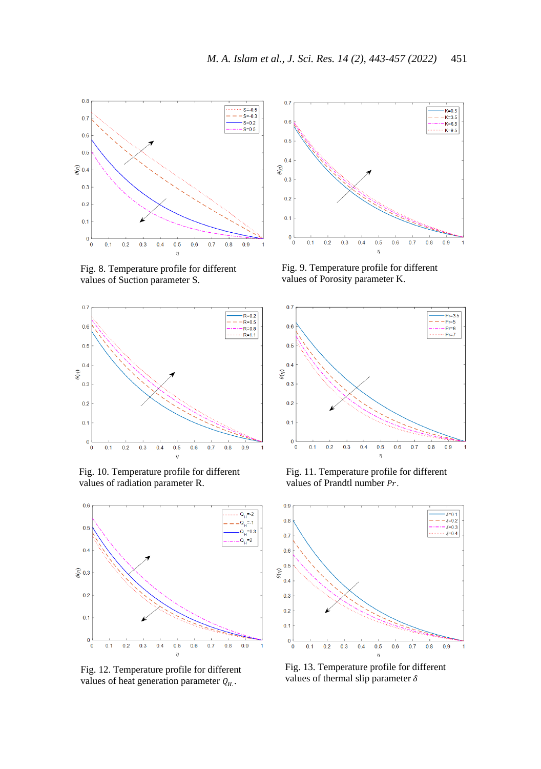

Fig. 8. Temperature profile for different values of Suction parameter S.



Fig. 10. Temperature profile for different values of radiation parameter R.



Fig. 12. Temperature profile for different values of heat generation parameter  $Q_{H}$ .



Fig. 9. Temperature profile for different values of Porosity parameter K.



Fig. 11. Temperature profile for different values of Prandtl number Pr.



Fig. 13. Temperature profile for different values of thermal slip parameter  $\delta$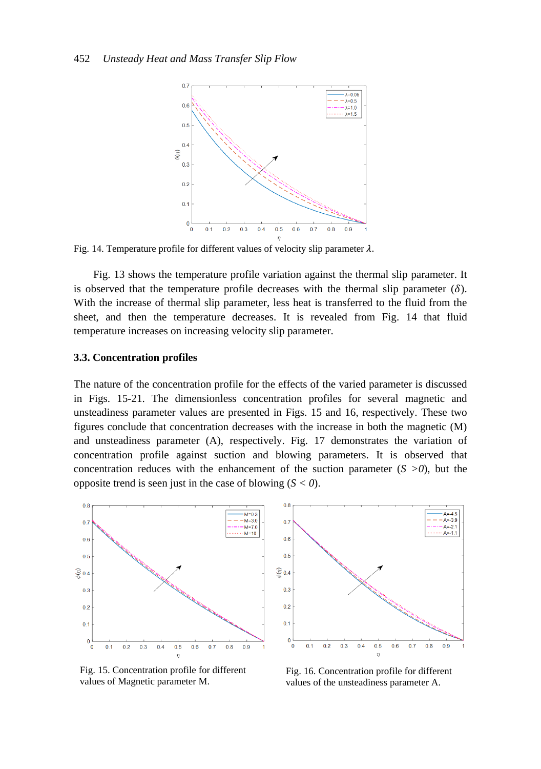

Fig. 14. Temperature profile for different values of velocity slip parameter  $\lambda$ .

Fig. 13 shows the temperature profile variation against the thermal slip parameter. It is observed that the temperature profile decreases with the thermal slip parameter  $(\delta)$ . With the increase of thermal slip parameter, less heat is transferred to the fluid from the sheet, and then the temperature decreases. It is revealed from Fig. 14 that fluid temperature increases on increasing velocity slip parameter.

## **3.3. Concentration profiles**

The nature of the concentration profile for the effects of the varied parameter is discussed in Figs. 15-21. The dimensionless concentration profiles for several magnetic and unsteadiness parameter values are presented in Figs. 15 and 16, respectively. These two figures conclude that concentration decreases with the increase in both the magnetic (M) and unsteadiness parameter (A), respectively. Fig. 17 demonstrates the variation of concentration profile against suction and blowing parameters. It is observed that concentration reduces with the enhancement of the suction parameter  $(S > 0)$ , but the opposite trend is seen just in the case of blowing  $(S < 0)$ .



Fig. 15. Concentration profile for different values of Magnetic parameter M.

Fig. 16. Concentration profile for different values of the unsteadiness parameter A.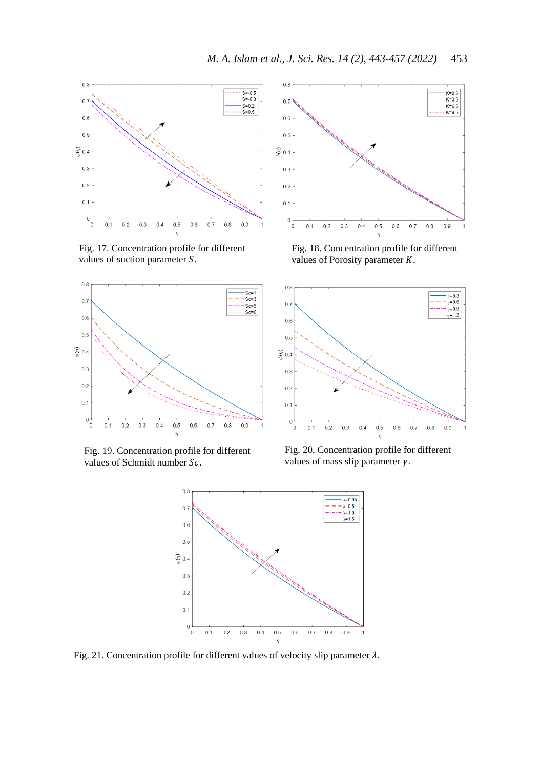

Fig. 17. Concentration profile for different values of suction parameter  $S$ .



Fig. 19. Concentration profile for different values of Schmidt number  $Sc$ .



Fig. 18. Concentration profile for different values of Porosity parameter  $K$ .



Fig. 20. Concentration profile for different values of mass slip parameter  $\gamma$ .



Fig. 21. Concentration profile for different values of velocity slip parameter  $\lambda$ .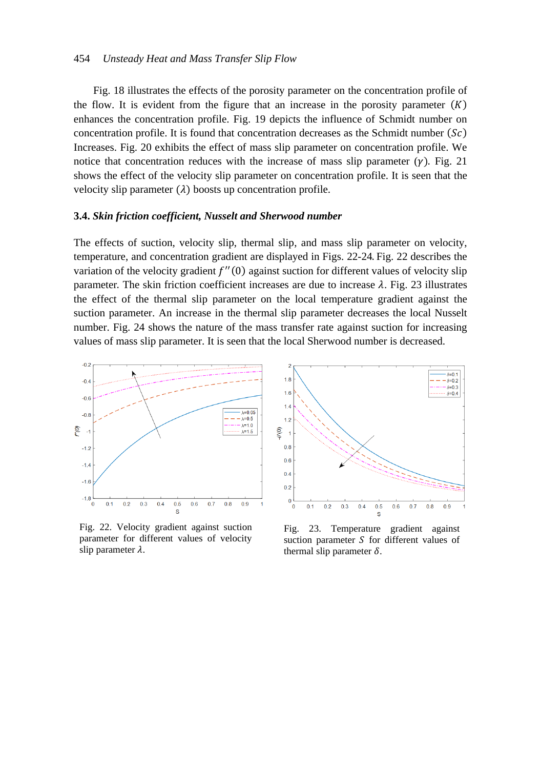### 454 *Unsteady Heat and Mass Transfer Slip Flow*

Fig. 18 illustrates the effects of the porosity parameter on the concentration profile of the flow. It is evident from the figure that an increase in the porosity parameter  $(K)$ enhances the concentration profile. Fig. 19 depicts the influence of Schmidt number on concentration profile. It is found that concentration decreases as the Schmidt number  $(Sc)$ Increases. Fig. 20 exhibits the effect of mass slip parameter on concentration profile. We notice that concentration reduces with the increase of mass slip parameter  $(\gamma)$ . Fig. 21 shows the effect of the velocity slip parameter on concentration profile. It is seen that the velocity slip parameter  $(\lambda)$  boosts up concentration profile.

### **3.4.** *Skin friction coefficient, Nusselt and Sherwood number*

The effects of suction, velocity slip, thermal slip, and mass slip parameter on velocity, temperature, and concentration gradient are displayed in Figs. 22-24 Fig. 22 describes the variation of the velocity gradient  $f''(0)$  against suction for different values of velocity slip parameter. The skin friction coefficient increases are due to increase  $\lambda$ . Fig. 23 illustrates the effect of the thermal slip parameter on the local temperature gradient against the suction parameter. An increase in the thermal slip parameter decreases the local Nusselt number. Fig. 24 shows the nature of the mass transfer rate against suction for increasing values of mass slip parameter. It is seen that the local Sherwood number is decreased.



Fig. 22. Velocity gradient against suction parameter for different values of velocity slip parameter  $\lambda$ .

Fig. 23. Temperature gradient against suction parameter  $S$  for different values of thermal slip parameter  $\delta$ .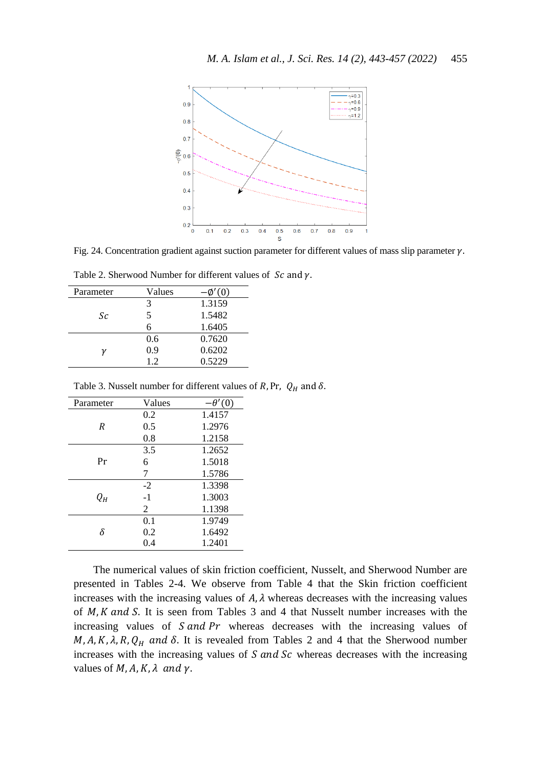

Fig. 24. Concentration gradient against suction parameter for different values of mass slip parameter  $\gamma$ .

|  |  | Table 2. Sherwood Number for different values of $Sc$ and $\gamma$ . |  |
|--|--|----------------------------------------------------------------------|--|
|--|--|----------------------------------------------------------------------|--|

| Parameter | Values | (0)    |
|-----------|--------|--------|
|           | 3      | 1.3159 |
| Sc        | 5      | 1.5482 |
|           | 6      | 1.6405 |
|           | 0.6    | 0.7620 |
| ν         | 0.9    | 0.6202 |
|           | 1.2    | 0.5229 |

Table 3. Nusselt number for different values of R, Pr,  $Q_H$  and  $\delta$ .

| Parameter | Values | $-\theta'(0)$ |
|-----------|--------|---------------|
|           | 0.2    | 1.4157        |
| R         | 0.5    | 1.2976        |
|           | 0.8    | 1.2158        |
|           | 3.5    | 1.2652        |
| Pr        | 6      | 1.5018        |
|           | 7      | 1.5786        |
|           | $-2$   | 1.3398        |
| Qн        | $-1$   | 1.3003        |
|           | 2      | 1.1398        |
|           | 0.1    | 1.9749        |
| δ         | 0.2    | 1.6492        |
|           | 0.4    | 1.2401        |

The numerical values of skin friction coefficient, Nusselt, and Sherwood Number are presented in Tables 2-4. We observe from Table 4 that the Skin friction coefficient increases with the increasing values of  $A$ ,  $\lambda$  whereas decreases with the increasing values of  $M$ ,  $K$  and  $S$ . It is seen from Tables 3 and 4 that Nusselt number increases with the increasing values of  $S$  and  $Pr$  whereas decreases with the increasing values of  $M, A, K, \lambda, R, Q_H$  and  $\delta$ . It is revealed from Tables 2 and 4 that the Sherwood number increases with the increasing values of  $S$  and  $Sc$  whereas decreases with the increasing values of  $M$ , A, K,  $\lambda$  and  $\gamma$ .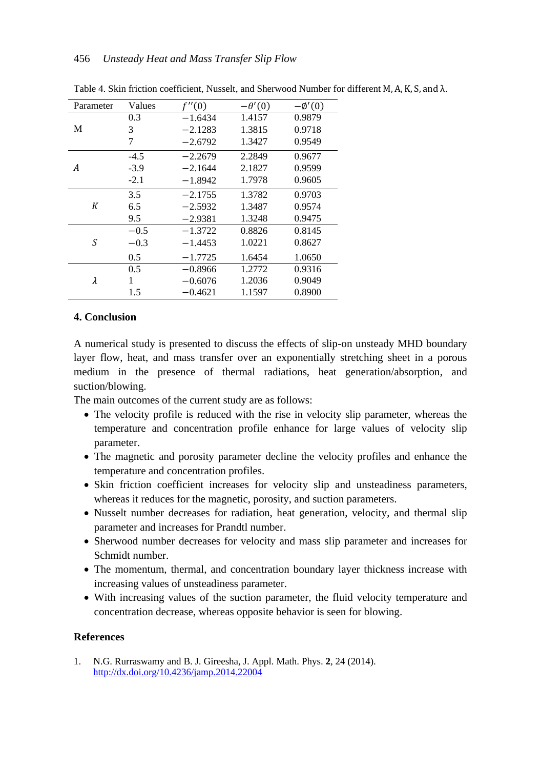| Parameter | Values | f''(0)    | $-\theta'(0)$ | $-\phi'(0)$ |
|-----------|--------|-----------|---------------|-------------|
|           | 0.3    | $-1.6434$ | 1.4157        | 0.9879      |
| М         | 3      | $-2.1283$ | 1.3815        | 0.9718      |
|           | 7      | $-2.6792$ | 1.3427        | 0.9549      |
|           | $-4.5$ | $-2.2679$ | 2.2849        | 0.9677      |
| A         | $-3.9$ | $-2.1644$ | 2.1827        | 0.9599      |
|           | $-2.1$ | $-1.8942$ | 1.7978        | 0.9605      |
|           | 3.5    | $-2.1755$ | 1.3782        | 0.9703      |
| К         | 6.5    | $-2.5932$ | 1.3487        | 0.9574      |
|           | 9.5    | $-2.9381$ | 1.3248        | 0.9475      |
|           | $-0.5$ | $-1.3722$ | 0.8826        | 0.8145      |
| S         | $-0.3$ | $-1.4453$ | 1.0221        | 0.8627      |
|           | 0.5    | $-1.7725$ | 1.6454        | 1.0650      |
|           | 0.5    | $-0.8966$ | 1.2772        | 0.9316      |
| λ         | 1      | $-0.6076$ | 1.2036        | 0.9049      |
|           | 1.5    | $-0.4621$ | 1.1597        | 0.8900      |

Table 4. Skin friction coefficient. Nusselt, and Sherwood Number for different M, A, K, S, and  $\lambda$ .

# **4. Conclusion**

A numerical study is presented to discuss the effects of slip-on unsteady MHD boundary layer flow, heat, and mass transfer over an exponentially stretching sheet in a porous medium in the presence of thermal radiations, heat generation/absorption, and suction/blowing.

The main outcomes of the current study are as follows:

- The velocity profile is reduced with the rise in velocity slip parameter, whereas the temperature and concentration profile enhance for large values of velocity slip parameter.
- The magnetic and porosity parameter decline the velocity profiles and enhance the temperature and concentration profiles.
- Skin friction coefficient increases for velocity slip and unsteadiness parameters, whereas it reduces for the magnetic, porosity, and suction parameters.
- Nusselt number decreases for radiation, heat generation, velocity, and thermal slip parameter and increases for Prandtl number.
- Sherwood number decreases for velocity and mass slip parameter and increases for Schmidt number.
- The momentum, thermal, and concentration boundary layer thickness increase with increasing values of unsteadiness parameter.
- With increasing values of the suction parameter, the fluid velocity temperature and concentration decrease, whereas opposite behavior is seen for blowing.

# **References**

1. N.G. Rurraswamy and B. J. Gireesha, J. Appl. Math. Phys. **2**, 24 (2014). <http://dx.doi.org/10.4236/jamp.2014.22004>